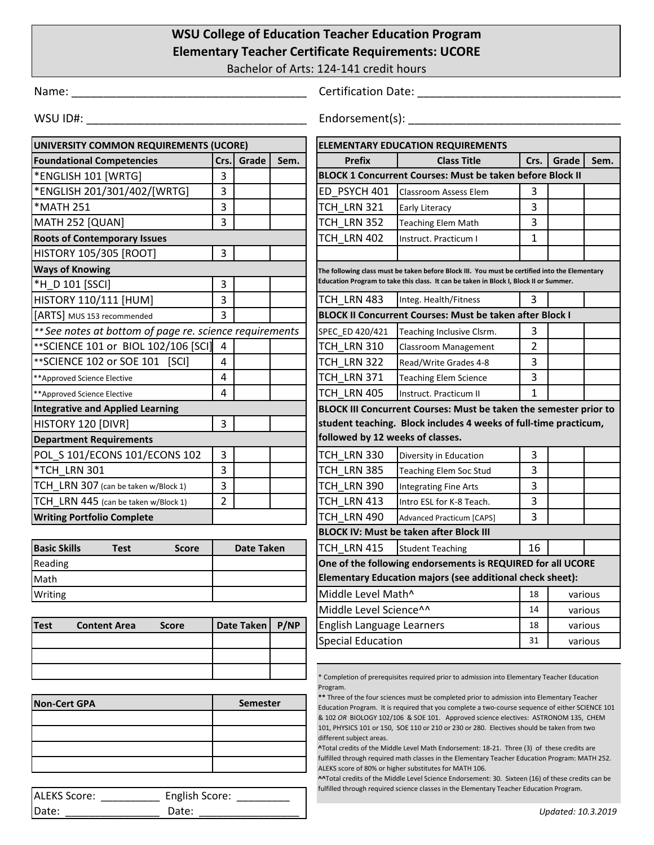## **WSU College of Education Teacher Education Program Elementary Teacher Certificate Requirements: UCORE**

Bachelor of Arts: 124-141 credit hours

Name: \_\_\_\_\_\_\_\_\_\_\_\_\_\_\_\_\_\_\_\_\_\_\_\_\_\_\_\_\_\_\_\_\_\_\_\_\_ Certification Date: \_\_\_\_\_\_\_\_\_\_\_\_\_\_\_\_\_\_\_\_\_\_\_\_\_\_\_\_\_\_\_\_

WSU ID#: \_\_\_\_\_\_\_\_\_\_\_\_\_\_\_\_\_\_\_\_\_\_\_\_\_\_\_\_\_\_\_\_\_\_\_ Endorsement(s): \_\_\_\_\_\_\_\_\_\_\_\_\_\_\_\_\_\_\_\_\_\_\_\_\_\_\_\_\_\_\_\_\_\_

| UNIVERSITY COMMON REQUIREMENTS (UCORE)                                                                                                                   |                                                                       |                                                                                                                                                                                               | <b>ELEMENTARY EDUCATION REQUIREMENTS</b>                                           |                                                                                                                       |                                                                                             |                |         |         |
|----------------------------------------------------------------------------------------------------------------------------------------------------------|-----------------------------------------------------------------------|-----------------------------------------------------------------------------------------------------------------------------------------------------------------------------------------------|------------------------------------------------------------------------------------|-----------------------------------------------------------------------------------------------------------------------|---------------------------------------------------------------------------------------------|----------------|---------|---------|
| <b>Foundational Competencies</b>                                                                                                                         | Crs.                                                                  | Grade                                                                                                                                                                                         | Sem.                                                                               | <b>Prefix</b>                                                                                                         | <b>Class Title</b>                                                                          | Crs.           | Grade   | Sem.    |
| *ENGLISH 101 [WRTG]                                                                                                                                      | 3                                                                     |                                                                                                                                                                                               |                                                                                    |                                                                                                                       | <b>BLOCK 1 Concurrent Courses: Must be taken before Block II</b>                            |                |         |         |
| *ENGLISH 201/301/402/[WRTG]                                                                                                                              | 3                                                                     |                                                                                                                                                                                               |                                                                                    | ED PSYCH 401                                                                                                          | <b>Classroom Assess Elem</b>                                                                | 3              |         |         |
| <b>*MATH 251</b>                                                                                                                                         | 3                                                                     |                                                                                                                                                                                               |                                                                                    | TCH LRN 321                                                                                                           | <b>Early Literacy</b>                                                                       | 3              |         |         |
| MATH 252 [QUAN]                                                                                                                                          | 3                                                                     |                                                                                                                                                                                               |                                                                                    | TCH LRN 352                                                                                                           | <b>Teaching Elem Math</b>                                                                   | 3              |         |         |
| <b>Roots of Contemporary Issues</b>                                                                                                                      |                                                                       |                                                                                                                                                                                               |                                                                                    | TCH LRN 402                                                                                                           | Instruct. Practicum I                                                                       | $\mathbf{1}$   |         |         |
| <b>HISTORY 105/305 [ROOT]</b>                                                                                                                            | 3                                                                     |                                                                                                                                                                                               |                                                                                    |                                                                                                                       |                                                                                             |                |         |         |
| <b>Ways of Knowing</b>                                                                                                                                   |                                                                       |                                                                                                                                                                                               |                                                                                    | The following class must be taken before Block III. You must be certified into the Elementary                         |                                                                                             |                |         |         |
| *H D 101 [SSCI]                                                                                                                                          | 3                                                                     |                                                                                                                                                                                               |                                                                                    |                                                                                                                       | Education Program to take this class. It can be taken in Block I, Block II or Summer.       |                |         |         |
| HISTORY 110/111 [HUM]                                                                                                                                    | 3                                                                     |                                                                                                                                                                                               |                                                                                    | TCH LRN 483                                                                                                           | Integ. Health/Fitness                                                                       | 3              |         |         |
| [ARTS] MUS 153 recommended                                                                                                                               | 3                                                                     |                                                                                                                                                                                               |                                                                                    | <b>BLOCK II Concurrent Courses: Must be taken after Block I</b>                                                       |                                                                                             |                |         |         |
| ** See notes at bottom of page re. science requirements                                                                                                  |                                                                       |                                                                                                                                                                                               |                                                                                    | SPEC ED 420/421                                                                                                       | Teaching Inclusive Clsrm.                                                                   | 3              |         |         |
| ** SCIENCE 101 or BIOL 102/106 [SCI]                                                                                                                     | $\overline{a}$                                                        |                                                                                                                                                                                               |                                                                                    | TCH LRN 310                                                                                                           | <b>Classroom Management</b>                                                                 | $\overline{2}$ |         |         |
| ** SCIENCE 102 or SOE 101 [SCI]                                                                                                                          | $\overline{4}$                                                        |                                                                                                                                                                                               |                                                                                    | TCH LRN 322                                                                                                           | Read/Write Grades 4-8                                                                       | 3              |         |         |
| **Approved Science Elective                                                                                                                              | 4                                                                     |                                                                                                                                                                                               |                                                                                    | TCH LRN 371                                                                                                           | <b>Teaching Elem Science</b>                                                                | 3              |         |         |
| **Approved Science Elective                                                                                                                              | 4                                                                     |                                                                                                                                                                                               |                                                                                    | TCH LRN 405                                                                                                           | Instruct. Practicum II                                                                      | 1              |         |         |
| <b>Integrative and Applied Learning</b><br>BLOCK III Concurrent Courses: Must be taken the semester prior to                                             |                                                                       |                                                                                                                                                                                               |                                                                                    |                                                                                                                       |                                                                                             |                |         |         |
| HISTORY 120 [DIVR]                                                                                                                                       | 3<br>student teaching. Block includes 4 weeks of full-time practicum, |                                                                                                                                                                                               |                                                                                    |                                                                                                                       |                                                                                             |                |         |         |
| <b>Department Requirements</b>                                                                                                                           |                                                                       |                                                                                                                                                                                               | followed by 12 weeks of classes.                                                   |                                                                                                                       |                                                                                             |                |         |         |
| POL S 101/ECONS 101/ECONS 102                                                                                                                            | 3                                                                     |                                                                                                                                                                                               |                                                                                    | TCH LRN 330                                                                                                           | Diversity in Education                                                                      | 3              |         |         |
| *TCH LRN 301                                                                                                                                             | 3                                                                     |                                                                                                                                                                                               |                                                                                    | TCH LRN 385                                                                                                           | <b>Teaching Elem Soc Stud</b>                                                               | 3              |         |         |
| TCH LRN 307 (can be taken w/Block 1)                                                                                                                     | 3                                                                     |                                                                                                                                                                                               |                                                                                    | TCH LRN 390                                                                                                           | <b>Integrating Fine Arts</b>                                                                | 3              |         |         |
| TCH LRN 445 (can be taken w/Block 1)                                                                                                                     | $\overline{2}$                                                        |                                                                                                                                                                                               |                                                                                    | TCH LRN 413                                                                                                           | Intro ESL for K-8 Teach.                                                                    | 3              |         |         |
| <b>Writing Portfolio Complete</b>                                                                                                                        |                                                                       |                                                                                                                                                                                               |                                                                                    | TCH LRN 490                                                                                                           | <b>Advanced Practicum [CAPS]</b>                                                            | 3              |         |         |
|                                                                                                                                                          |                                                                       |                                                                                                                                                                                               | <b>BLOCK IV: Must be taken after Block III</b>                                     |                                                                                                                       |                                                                                             |                |         |         |
| <b>Basic Skills</b><br><b>Test</b><br><b>Score</b>                                                                                                       |                                                                       | <b>Date Taken</b>                                                                                                                                                                             |                                                                                    | TCH LRN 415                                                                                                           | <b>Student Teaching</b>                                                                     | 16             |         |         |
| Reading                                                                                                                                                  |                                                                       |                                                                                                                                                                                               |                                                                                    | One of the following endorsements is REQUIRED for all UCORE                                                           |                                                                                             |                |         |         |
| Math                                                                                                                                                     |                                                                       |                                                                                                                                                                                               |                                                                                    |                                                                                                                       | Elementary Education majors (see additional check sheet):                                   |                |         |         |
| Writing                                                                                                                                                  |                                                                       |                                                                                                                                                                                               |                                                                                    | Middle Level Math <sup>^</sup>                                                                                        |                                                                                             | 18             | various |         |
|                                                                                                                                                          |                                                                       |                                                                                                                                                                                               |                                                                                    | Middle Level Science^^<br>14                                                                                          |                                                                                             |                | various |         |
| <b>Test</b><br><b>Content Area</b><br>Score                                                                                                              |                                                                       | <b>Date Taken</b>                                                                                                                                                                             | P/NP                                                                               | English Language Learners                                                                                             |                                                                                             | 18             | various |         |
|                                                                                                                                                          |                                                                       |                                                                                                                                                                                               |                                                                                    | <b>Special Education</b>                                                                                              |                                                                                             | 31             |         | various |
|                                                                                                                                                          |                                                                       |                                                                                                                                                                                               |                                                                                    |                                                                                                                       |                                                                                             |                |         |         |
|                                                                                                                                                          |                                                                       |                                                                                                                                                                                               |                                                                                    |                                                                                                                       | * Completion of prerequisites required prior to admission into Elementary Teacher Education |                |         |         |
|                                                                                                                                                          |                                                                       |                                                                                                                                                                                               |                                                                                    | Program.                                                                                                              |                                                                                             |                |         |         |
| <b>Non-Cert GPA</b><br><b>Semester</b>                                                                                                                   |                                                                       | ** Three of the four sciences must be completed prior to admission into Elementary Teacher<br>Education Program. It is required that you complete a two-course sequence of either SCIENCE 101 |                                                                                    |                                                                                                                       |                                                                                             |                |         |         |
|                                                                                                                                                          |                                                                       |                                                                                                                                                                                               | & 102 OR BIOLOGY 102/106 & SOE 101. Approved science electives: ASTRONOM 135, CHEM |                                                                                                                       |                                                                                             |                |         |         |
|                                                                                                                                                          |                                                                       |                                                                                                                                                                                               |                                                                                    | 101, PHYSICS 101 or 150, SOE 110 or 210 or 230 or 280. Electives should be taken from two<br>different subject areas. |                                                                                             |                |         |         |
|                                                                                                                                                          |                                                                       |                                                                                                                                                                                               |                                                                                    |                                                                                                                       | ^Total credits of the Middle Level Math Endorsement: 18-21. Three (3) of these credits are  |                |         |         |
| fulfilled through required math classes in the Elementary Teacher Education Program: MATH 252.<br>ALEKS score of 80% or higher substitutes for MATH 106. |                                                                       |                                                                                                                                                                                               |                                                                                    |                                                                                                                       |                                                                                             |                |         |         |

Date: \_\_\_\_\_\_\_\_\_\_\_\_\_\_\_\_ Date: \_\_\_\_\_\_\_\_\_\_\_\_\_\_\_\_\_

**^^**Total credits of the Middle Level Science Endorsement: 30. Sixteen (16) of these credits can be fulfilled through required science classes in the Elementary Teacher Education Program. ALEKS Score: \_\_\_\_\_\_\_\_\_\_\_\_ English Score: \_\_\_\_\_\_\_\_\_\_

*Updated: 10.3.2019*